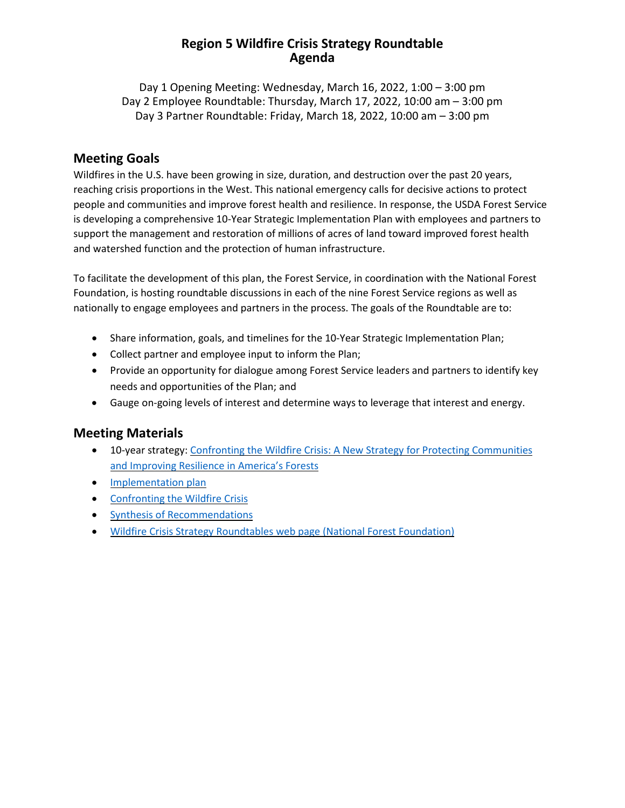### **Region 5 Wildfire Crisis Strategy Roundtable Agenda**

Day 1 Opening Meeting: Wednesday, March 16, 2022, 1:00 – 3:00 pm Day 2 Employee Roundtable: Thursday, March 17, 2022, 10:00 am – 3:00 pm Day 3 Partner Roundtable: Friday, March 18, 2022, 10:00 am – 3:00 pm

#### **Meeting Goals**

Wildfires in the U.S. have been growing in size, duration, and destruction over the past 20 years, reaching crisis proportions in the West. This national emergency calls for decisive actions to protect people and communities and improve forest health and resilience. In response, the USDA Forest Service is developing a comprehensive 10-Year Strategic Implementation Plan with employees and partners to support the management and restoration of millions of acres of land toward improved forest health and watershed function and the protection of human infrastructure.

To facilitate the development of this plan, the Forest Service, in coordination with the National Forest Foundation, is hosting roundtable discussions in each of the nine Forest Service regions as well as nationally to engage employees and partners in the process. The goals of the Roundtable are to:

- Share information, goals, and timelines for the 10-Year Strategic Implementation Plan;
- Collect partner and employee input to inform the Plan;
- Provide an opportunity for dialogue among Forest Service leaders and partners to identify key needs and opportunities of the Plan; and
- Gauge on-going levels of interest and determine ways to leverage that interest and energy.

## **Meeting Materials**

- 10-year strategy: Confronting the Wildfire Crisis: A New Strategy for Protecting [Communities](https://www.fs.usda.gov/sites/default/files/Confronting-Wildfire-Crisis.pdf) and [Improving](https://www.fs.usda.gov/sites/default/files/Confronting-Wildfire-Crisis.pdf) Resilience in America's Forests
- [Implementation](https://www.fs.usda.gov/sites/default/files/Wildfire-Crisis-Implementation-Plan.pdf) plan
- [Confronting](https://www.fs.usda.gov/managing-land/wildfire-crisis) the Wildfire Crisis
- Synthesis of [Recommendations](https://www.nationalforests.org/assets/blog/Wildfire-Risk-Reduction-Partner-Recommendation-Analysis.pdf)
- Wildfire Crisis Strategy [Roundtables](https://www.nationalforests.org/collaboration-resources/wildfire-crisis-strategy-roundtables) web page (National Forest Foundation)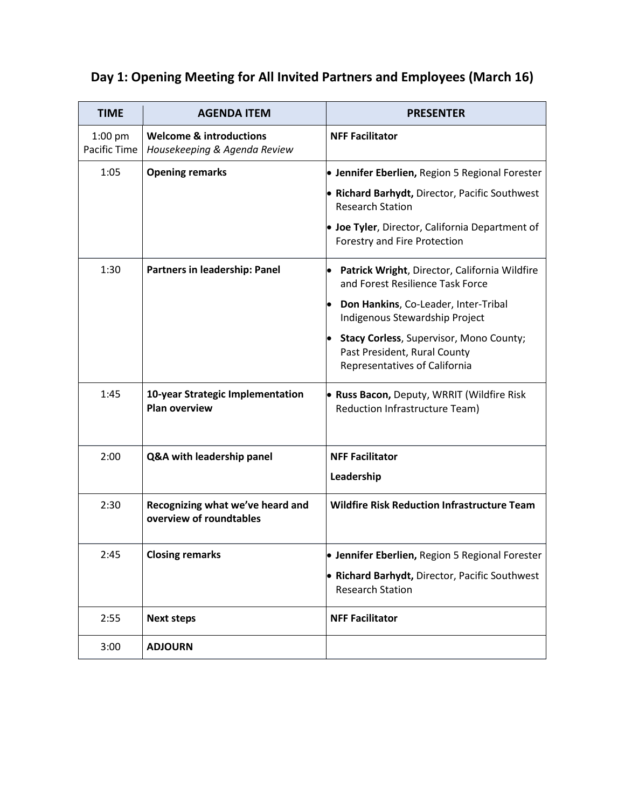## **Day 1: Opening Meeting for All Invited Partners and Employees (March 16)**

| <b>TIME</b>               | <b>AGENDA ITEM</b>                                                 | <b>PRESENTER</b>                                                                                         |
|---------------------------|--------------------------------------------------------------------|----------------------------------------------------------------------------------------------------------|
| $1:00$ pm<br>Pacific Time | <b>Welcome &amp; introductions</b><br>Housekeeping & Agenda Review | <b>NFF Facilitator</b>                                                                                   |
| 1:05                      | <b>Opening remarks</b>                                             | • Jennifer Eberlien, Region 5 Regional Forester                                                          |
|                           |                                                                    | • Richard Barhydt, Director, Pacific Southwest<br><b>Research Station</b>                                |
|                           |                                                                    | • Joe Tyler, Director, California Department of<br>Forestry and Fire Protection                          |
| 1:30                      | Partners in leadership: Panel                                      | Patrick Wright, Director, California Wildfire<br>and Forest Resilience Task Force                        |
|                           |                                                                    | Don Hankins, Co-Leader, Inter-Tribal<br>Indigenous Stewardship Project                                   |
|                           |                                                                    | Stacy Corless, Supervisor, Mono County;<br>Past President, Rural County<br>Representatives of California |
| 1:45                      | 10-year Strategic Implementation<br><b>Plan overview</b>           | . Russ Bacon, Deputy, WRRIT (Wildfire Risk<br>Reduction Infrastructure Team)                             |
| 2:00                      | Q&A with leadership panel                                          | <b>NFF Facilitator</b>                                                                                   |
|                           |                                                                    | Leadership                                                                                               |
| 2:30                      | Recognizing what we've heard and<br>overview of roundtables        | <b>Wildfire Risk Reduction Infrastructure Team</b>                                                       |
| 2:45                      | <b>Closing remarks</b>                                             | • Jennifer Eberlien, Region 5 Regional Forester                                                          |
|                           |                                                                    | • Richard Barhydt, Director, Pacific Southwest<br><b>Research Station</b>                                |
| 2:55                      | <b>Next steps</b>                                                  | <b>NFF Facilitator</b>                                                                                   |
| 3:00                      | <b>ADJOURN</b>                                                     |                                                                                                          |